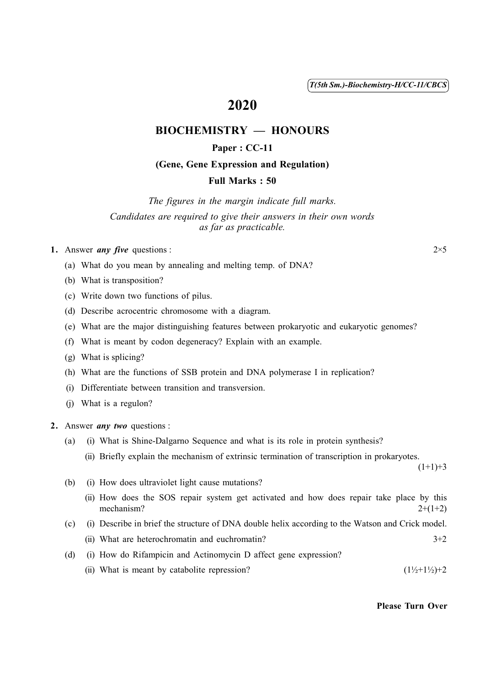( 1 ) *T(5th Sm.)-Biochemistry-H/CC-11/CBCS*

# 2020

# BIOCHEMISTRY — HONOURS

# Paper : CC-11

# (Gene, Gene Expression and Regulation)

## Full Marks : 50

*The figures in the margin indicate full marks. Candidates are required to give their answers in their own words as far as practicable.*

1. Answer *any five* questions :  $2 \times 5$ 

(a) What do you mean by annealing and melting temp. of DNA?

(b) What is transposition?

- (c) Write down two functions of pilus.
- (d) Describe acrocentric chromosome with a diagram.
- (e) What are the major distinguishing features between prokaryotic and eukaryotic genomes?
- (f) What is meant by codon degeneracy? Explain with an example.
- (g) What is splicing?
- (h) What are the functions of SSB protein and DNA polymerase I in replication?
- (i) Differentiate between transition and transversion.
- (j) What is a regulon?

2. Answer *any two* questions :

- (a) (i) What is Shine-Dalgarno Sequence and what is its role in protein synthesis?
	- (ii) Briefly explain the mechanism of extrinsic termination of transcription in prokaryotes.

 $(1+1)+3$ 

- (b) (i) How does ultraviolet light cause mutations?
	- (ii) How does the SOS repair system get activated and how does repair take place by this mechanism?  $2+(1+2)$
- (c) (i) Describe in brief the structure of DNA double helix according to the Watson and Crick model.
	- (ii) What are heterochromatin and euchromatin?  $3+2$
- (d) (i) How do Rifampicin and Actinomycin D affect gene expression? (ii) What is meant by catabolite repression?  $(1\frac{1}{2}+1\frac{1}{2})+2$

### Please Turn Over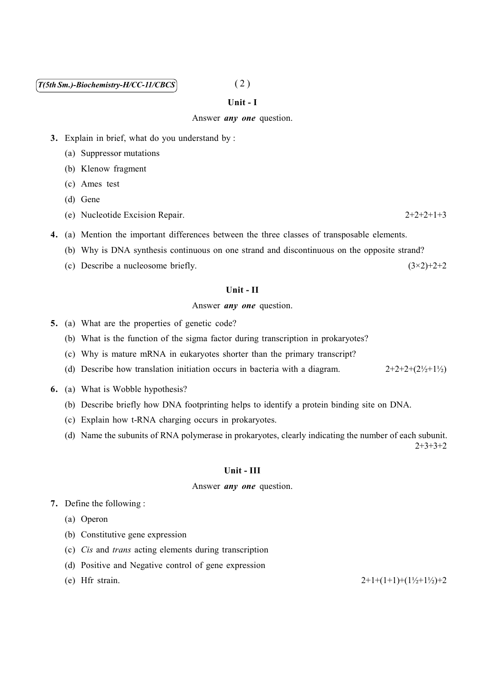# $\widehat{T(5th Sm.)}$ -Biochemistry-H/CC-11/CBCS<sup>(2)</sup>

#### Unit - I

#### Answer *any one* question.

- 3. Explain in brief, what do you understand by :
	- (a) Suppressor mutations
	- (b) Klenow fragment
	- (c) Ames test
	- (d) Gene
	- (e) Nucleotide Excision Repair. 2+2+2+1+3
- 4. (a) Mention the important differences between the three classes of transposable elements.
	- (b) Why is DNA synthesis continuous on one strand and discontinuous on the opposite strand?
	- (c) Describe a nucleosome briefly.  $(3\times2)+2+2$

#### Unit - II

Answer *any one* question.

- 5. (a) What are the properties of genetic code?
	- (b) What is the function of the sigma factor during transcription in prokaryotes?
	- (c) Why is mature mRNA in eukaryotes shorter than the primary transcript?
	- (d) Describe how translation initiation occurs in bacteria with a diagram.  $2+2+2+(2<sup>1</sup>)/2$
- 6. (a) What is Wobble hypothesis?
	- (b) Describe briefly how DNA footprinting helps to identify a protein binding site on DNA.
	- (c) Explain how t-RNA charging occurs in prokaryotes.
	- (d) Name the subunits of RNA polymerase in prokaryotes, clearly indicating the number of each subunit.

2+3+3+2

#### Unit - III

### Answer *any one* question.

- 7. Define the following :
	- (a) Operon
	- (b) Constitutive gene expression
	- (c) *Cis* and *trans* acting elements during transcription
	- (d) Positive and Negative control of gene expression
	-

(e) Hfr strain.  $2+1+(1+1)+(1/2+1/2)+2$